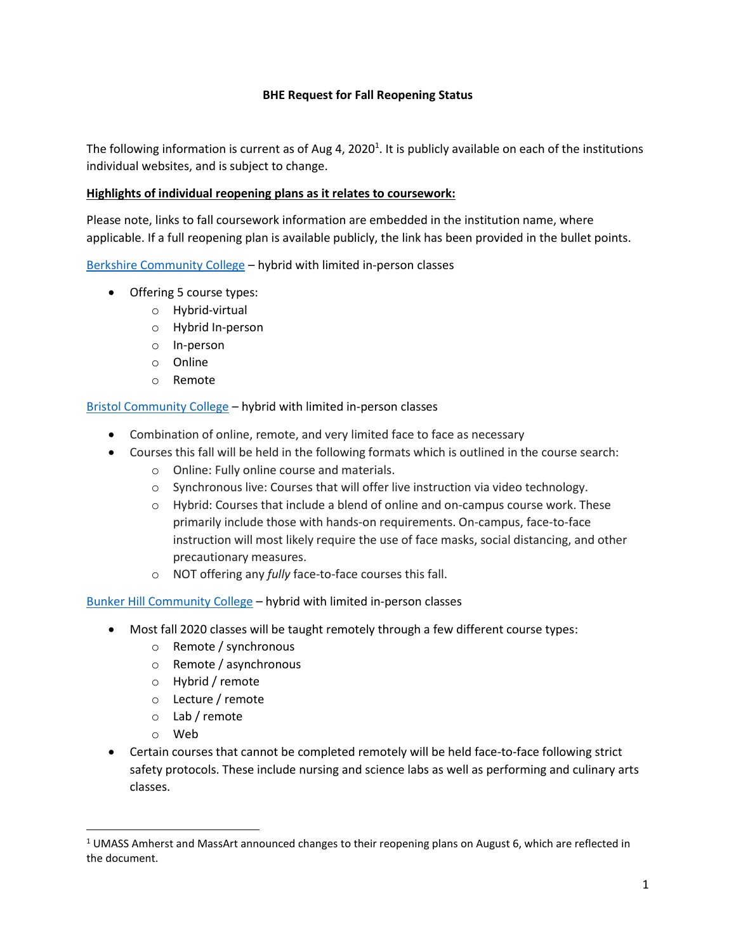#### **BHE Request for Fall Reopening Status**

The following information is current as of Aug 4, 2020<sup>1</sup>. It is publicly available on each of the institutions individual websites, and is subject to change.

#### **Highlights of individual reopening plans as it relates to coursework:**

Please note, links to fall coursework information are embedded in the institution name, where applicable. If a full reopening plan is available publicly, the link has been provided in the bullet points.

[Berkshire Community College](https://www.berkshirecc.edu/admission-and-aid/fall/index.php) – hybrid with limited in-person classes

- Offering 5 course types:
	- o Hybrid-virtual
	- o Hybrid In-person
	- o In-person
	- o Online
	- o Remote

[Bristol Community College](http://www.bristolcc.edu/learnatbristol/academicresources/advising/registerforclasses/) – hybrid with limited in-person classes

- Combination of online, remote, and very limited face to face as necessary
- Courses this fall will be held in the following formats which is outlined in the course search:
	- o Online: Fully online course and materials.
	- o Synchronous live: Courses that will offer live instruction via video technology.
	- o Hybrid: Courses that include a blend of online and on-campus course work. These primarily include those with hands-on requirements. On-campus, face-to-face instruction will most likely require the use of face masks, social distancing, and other precautionary measures.
	- o NOT offering any *fully* face-to-face courses this fall.

[Bunker Hill Community College](https://www.bhcc.edu/studentcentral/academicrecords/fall2020coursedeliveryinfo/) – hybrid with limited in-person classes

- Most fall 2020 classes will be taught remotely through a few different course types:
	- o Remote / synchronous
	- o Remote / asynchronous
	- o Hybrid / remote
	- o Lecture / remote
	- o Lab / remote
	- o Web
- Certain courses that cannot be completed remotely will be held face-to-face following strict safety protocols. These include nursing and science labs as well as performing and culinary arts classes.

 $1$  UMASS Amherst and MassArt announced changes to their reopening plans on August 6, which are reflected in the document.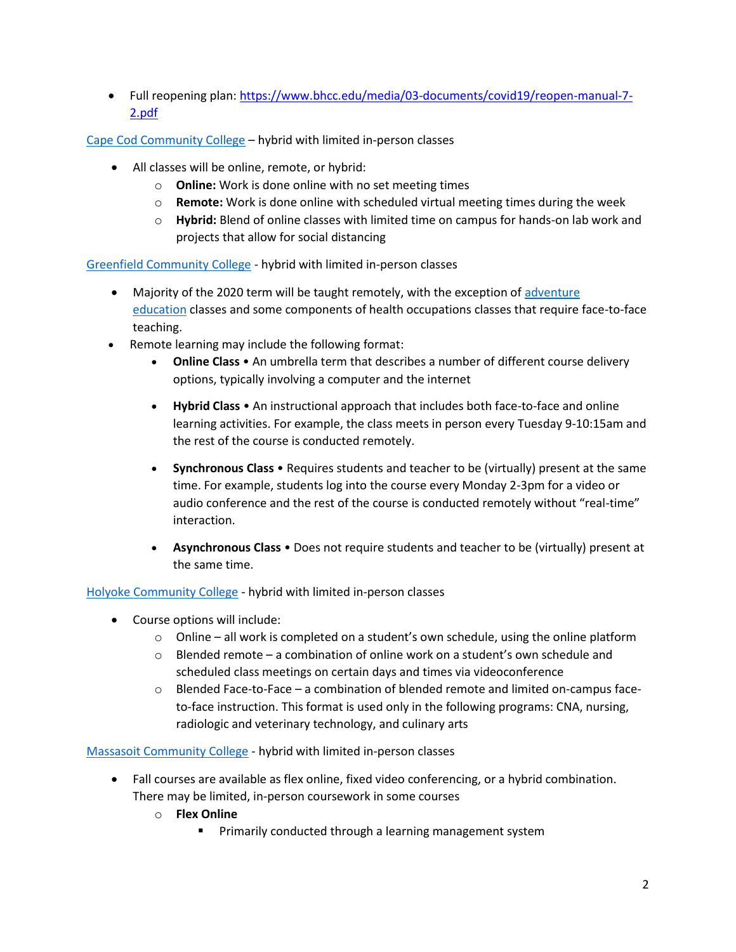• Full reopening plan: [https://www.bhcc.edu/media/03-documents/covid19/reopen-manual-7-](https://www.bhcc.edu/media/03-documents/covid19/reopen-manual-7-2.pdf) [2.pdf](https://www.bhcc.edu/media/03-documents/covid19/reopen-manual-7-2.pdf)

[Cape Cod Community College](https://www.capecod.edu/register/) – hybrid with limited in-person classes

- All classes will be online, remote, or hybrid:
	- o **Online:** Work is done online with no set meeting times
	- o **Remote:** Work is done online with scheduled virtual meeting times during the week
	- o **Hybrid:** Blend of online classes with limited time on campus for hands-on lab work and projects that allow for social distancing

[Greenfield Community College](https://www.gcc.mass.edu/remote-learning-for-fall-2020/) - hybrid with limited in-person classes

- Majority of the 2020 term will be taught remotely, with the exception of adventure [education](https://www.gcc.mass.edu/adventure/) classes and some components of health occupations classes that require face-to-face teaching.
- Remote learning may include the following format:
	- **Online Class** An umbrella term that describes a number of different course delivery options, typically involving a computer and the internet
	- **Hybrid Class** An instructional approach that includes both face-to-face and online learning activities. For example, the class meets in person every Tuesday 9-10:15am and the rest of the course is conducted remotely.
	- **Synchronous Class** Requires students and teacher to be (virtually) present at the same time. For example, students log into the course every Monday 2-3pm for a video or audio conference and the rest of the course is conducted remotely without "real-time" interaction.
	- **Asynchronous Class** Does not require students and teacher to be (virtually) present at the same time.

## [Holyoke Community College](https://www.hcc.edu/courses-and-programs/class-schedule) - hybrid with limited in-person classes

- Course options will include:
	- $\circ$  Online all work is completed on a student's own schedule, using the online platform
	- $\circ$  Blended remote a combination of online work on a student's own schedule and scheduled class meetings on certain days and times via videoconference
	- $\circ$  Blended Face-to-Face a combination of blended remote and limited on-campus faceto-face instruction. This format is used only in the following programs: CNA, nursing, radiologic and veterinary technology, and culinary arts

## [Massasoit Community College](https://massasoit.edu/fall-2020-course-format-definitions/) - hybrid with limited in-person classes

- Fall courses are available as flex online, fixed video conferencing, or a hybrid combination. There may be limited, in-person coursework in some courses
	- o **Flex Online**
		- Primarily conducted through a learning management system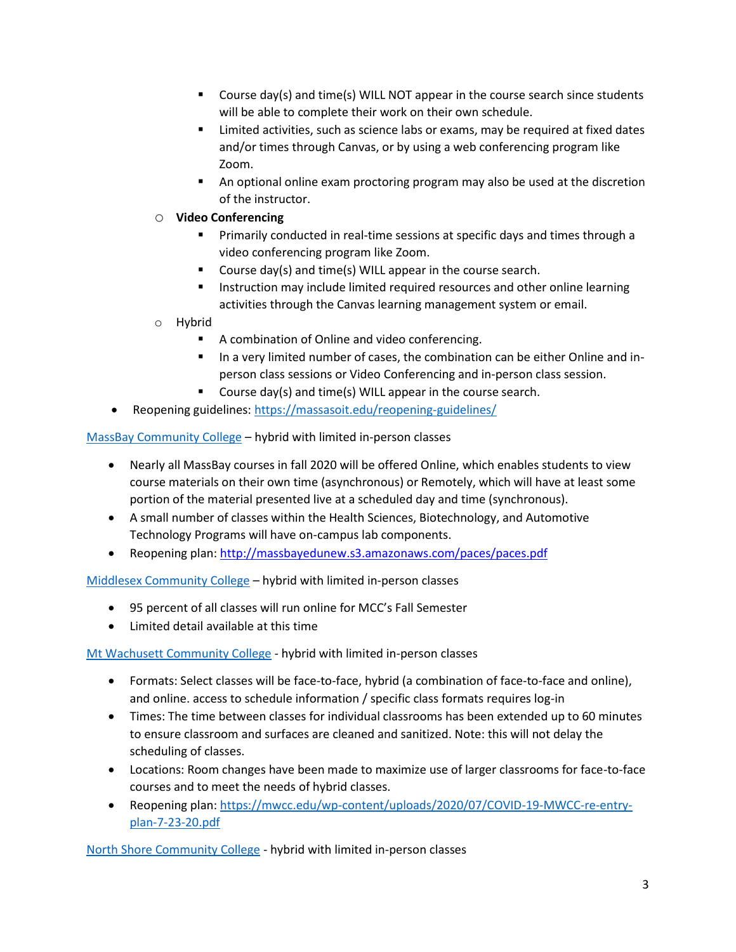- Course day(s) and time(s) WILL NOT appear in the course search since students will be able to complete their work on their own schedule.
- Limited activities, such as science labs or exams, may be required at fixed dates and/or times through Canvas, or by using a web conferencing program like Zoom.
- An optional online exam proctoring program may also be used at the discretion of the instructor.
- o **Video Conferencing**
	- **•** Primarily conducted in real-time sessions at specific days and times through a video conferencing program like Zoom.
	- Course day(s) and time(s) WILL appear in the course search.
	- **■** Instruction may include limited required resources and other online learning activities through the Canvas learning management system or email.
- o Hybrid
	- A combination of Online and video conferencing.
	- In a very limited number of cases, the combination can be either Online and inperson class sessions or Video Conferencing and in-person class session.
	- Course day(s) and time(s) WILL appear in the course search.
- Reopening guidelines[: https://massasoit.edu/reopening-guidelines/](https://massasoit.edu/reopening-guidelines/)

[MassBay Community College](https://www.massbay.edu/admissions/how-to-apply) – hybrid with limited in-person classes

- Nearly all MassBay courses in fall 2020 will be offered Online, which enables students to view course materials on their own time (asynchronous) or Remotely, which will have at least some portion of the material presented live at a scheduled day and time (synchronous).
- A small number of classes within the Health Sciences, Biotechnology, and Automotive Technology Programs will have on-campus lab components.
- Reopening plan:<http://massbayedunew.s3.amazonaws.com/paces/paces.pdf>

[Middlesex Community College](https://www.middlesex.mass.edu/disclosurestatements/covid_19.aspx) – hybrid with limited in-person classes

- 95 percent of all classes will run online for MCC's Fall Semester
- Limited detail available at this time

[Mt Wachusett Community College](https://mwcc.edu/covid/) - hybrid with limited in-person classes

- Formats: Select classes will be face-to-face, hybrid (a combination of face-to-face and online), and online. access to schedule information / specific class formats requires log-in
- Times: The time between classes for individual classrooms has been extended up to 60 minutes to ensure classroom and surfaces are cleaned and sanitized. Note: this will not delay the scheduling of classes.
- Locations: Room changes have been made to maximize use of larger classrooms for face-to-face courses and to meet the needs of hybrid classes.
- Reopening plan: [https://mwcc.edu/wp-content/uploads/2020/07/COVID-19-MWCC-re-entry](https://mwcc.edu/wp-content/uploads/2020/07/COVID-19-MWCC-re-entry-plan-7-23-20.pdf)[plan-7-23-20.pdf](https://mwcc.edu/wp-content/uploads/2020/07/COVID-19-MWCC-re-entry-plan-7-23-20.pdf)

[North Shore Community College](https://www.northshore.edu/admissions/registration.html) - hybrid with limited in-person classes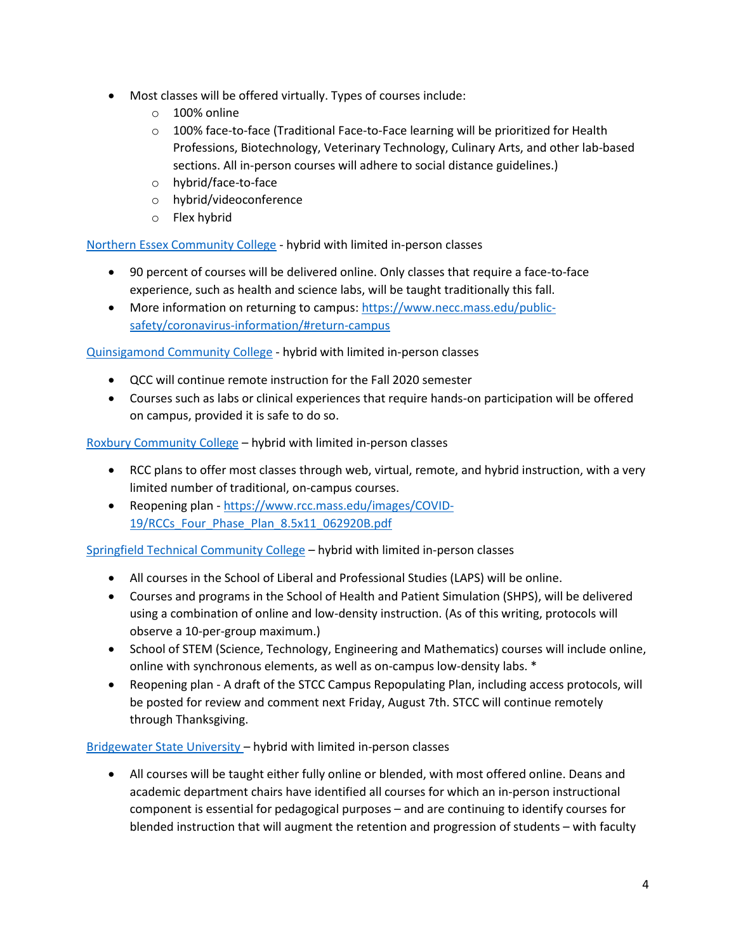- Most classes will be offered virtually. Types of courses include:
	- o 100% online
	- $\circ$  100% face-to-face (Traditional Face-to-Face learning will be prioritized for Health Professions, Biotechnology, Veterinary Technology, Culinary Arts, and other lab-based sections. All in-person courses will adhere to social distance guidelines.)
	- o hybrid/face-to-face
	- o hybrid/videoconference
	- o Flex hybrid

[Northern Essex Community College](https://www.necc.mass.edu/current-students/academic-resources/register-for-classes/) - hybrid with limited in-person classes

- 90 percent of courses will be delivered online. Only classes that require a face-to-face experience, such as health and science labs, will be taught traditionally this fall.
- More information on returning to campus: [https://www.necc.mass.edu/public](https://www.necc.mass.edu/public-safety/coronavirus-information/#return-campus)[safety/coronavirus-information/#return-campus](https://www.necc.mass.edu/public-safety/coronavirus-information/#return-campus)

[Quinsigamond Community College](https://www.qcc.edu/services/health-wellness/coronavirus-covid-19) - hybrid with limited in-person classes

- QCC will continue remote instruction for the Fall 2020 semester
- Courses such as labs or clinical experiences that require hands-on participation will be offered on campus, provided it is safe to do so.

[Roxbury Community College](https://www.rcc.mass.edu/about-us/news/1192-important-information-on-campus-access-during-covid-19-pandemic) – hybrid with limited in-person classes

- RCC plans to offer most classes through web, virtual, remote, and hybrid instruction, with a very limited number of traditional, on-campus courses.
- Reopening plan [https://www.rcc.mass.edu/images/COVID-](https://www.rcc.mass.edu/images/COVID-19/RCCs_Four_Phase_Plan_8.5x11_062920B.pdf)[19/RCCs\\_Four\\_Phase\\_Plan\\_8.5x11\\_062920B.pdf](https://www.rcc.mass.edu/images/COVID-19/RCCs_Four_Phase_Plan_8.5x11_062920B.pdf)

[Springfield Technical Community College](https://www.stcc.edu/coronavirus/) – hybrid with limited in-person classes

- All courses in the School of Liberal and Professional Studies (LAPS) will be online.
- Courses and programs in the School of Health and Patient Simulation (SHPS), will be delivered using a combination of online and low-density instruction. (As of this writing, protocols will observe a 10-per-group maximum.)
- School of STEM (Science, Technology, Engineering and Mathematics) courses will include online, online with synchronous elements, as well as on-campus low-density labs. \*
- Reopening plan A draft of the STCC Campus Repopulating Plan, including access protocols, will be posted for review and comment next Friday, August 7th. STCC will continue remotely through Thanksgiving.

[Bridgewater State University](https://www.bridgew.edu/sites/bridgew/files/media/pdf_document/2020%20Safe%20Return%20Report.pdf) – hybrid with limited in-person classes

• All courses will be taught either fully online or blended, with most offered online. Deans and academic department chairs have identified all courses for which an in-person instructional component is essential for pedagogical purposes – and are continuing to identify courses for blended instruction that will augment the retention and progression of students – with faculty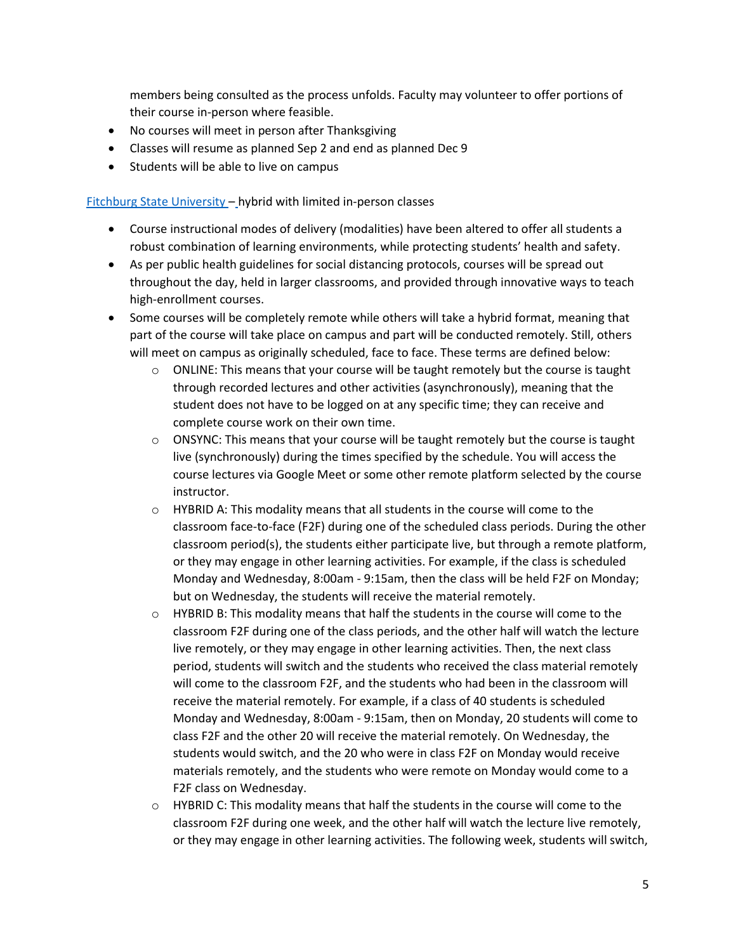members being consulted as the process unfolds. Faculty may volunteer to offer portions of their course in-person where feasible.

- No courses will meet in person after Thanksgiving
- Classes will resume as planned Sep 2 and end as planned Dec 9
- Students will be able to live on campus

[Fitchburg State University](https://www.fitchburgstate.edu/uploads/files/StudentAcademicLife/student%20repopulation%20plan%20(1).pdf) – hybrid with limited in-person classes

- Course instructional modes of delivery (modalities) have been altered to offer all students a robust combination of learning environments, while protecting students' health and safety.
- As per public health guidelines for social distancing protocols, courses will be spread out throughout the day, held in larger classrooms, and provided through innovative ways to teach high-enrollment courses.
- Some courses will be completely remote while others will take a hybrid format, meaning that part of the course will take place on campus and part will be conducted remotely. Still, others will meet on campus as originally scheduled, face to face. These terms are defined below:
	- $\circ$  ONLINE: This means that your course will be taught remotely but the course is taught through recorded lectures and other activities (asynchronously), meaning that the student does not have to be logged on at any specific time; they can receive and complete course work on their own time.
	- $\circ$  ONSYNC: This means that your course will be taught remotely but the course is taught live (synchronously) during the times specified by the schedule. You will access the course lectures via Google Meet or some other remote platform selected by the course instructor.
	- o HYBRID A: This modality means that all students in the course will come to the classroom face-to-face (F2F) during one of the scheduled class periods. During the other classroom period(s), the students either participate live, but through a remote platform, or they may engage in other learning activities. For example, if the class is scheduled Monday and Wednesday, 8:00am - 9:15am, then the class will be held F2F on Monday; but on Wednesday, the students will receive the material remotely.
	- $\circ$  HYBRID B: This modality means that half the students in the course will come to the classroom F2F during one of the class periods, and the other half will watch the lecture live remotely, or they may engage in other learning activities. Then, the next class period, students will switch and the students who received the class material remotely will come to the classroom F2F, and the students who had been in the classroom will receive the material remotely. For example, if a class of 40 students is scheduled Monday and Wednesday, 8:00am - 9:15am, then on Monday, 20 students will come to class F2F and the other 20 will receive the material remotely. On Wednesday, the students would switch, and the 20 who were in class F2F on Monday would receive materials remotely, and the students who were remote on Monday would come to a F2F class on Wednesday.
	- $\circ$  HYBRID C: This modality means that half the students in the course will come to the classroom F2F during one week, and the other half will watch the lecture live remotely, or they may engage in other learning activities. The following week, students will switch,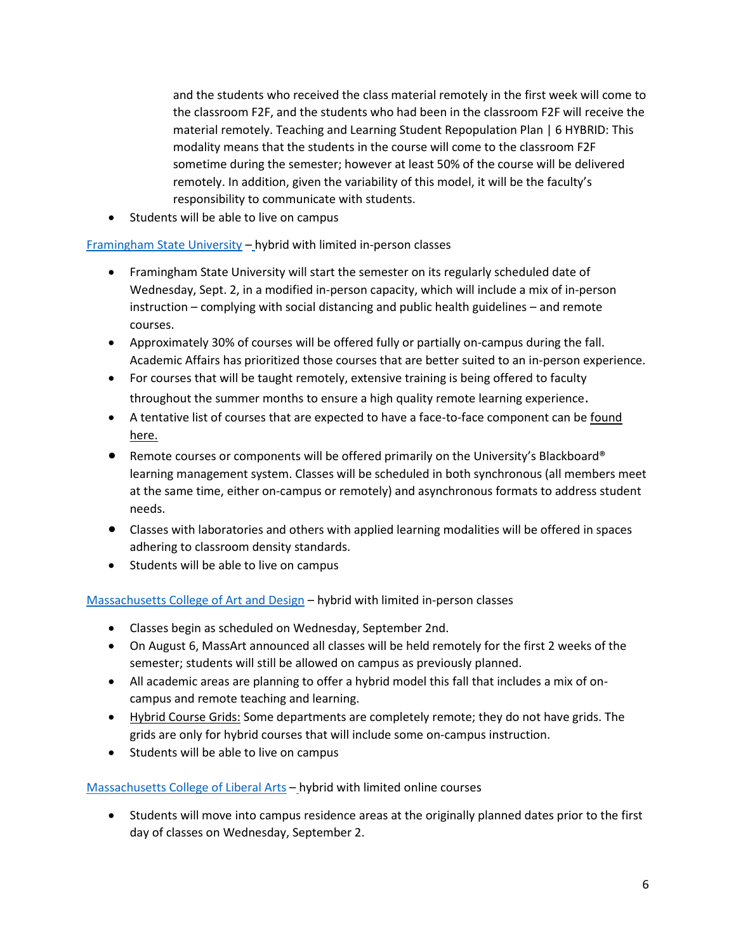and the students who received the class material remotely in the first week will come to the classroom F2F, and the students who had been in the classroom F2F will receive the material remotely. Teaching and Learning Student Repopulation Plan | 6 HYBRID: This modality means that the students in the course will come to the classroom F2F sometime during the semester; however at least 50% of the course will be delivered remotely. In addition, given the variability of this model, it will be the faculty's responsibility to communicate with students.

• Students will be able to live on campus

## [Framingham State University](https://www.framingham.edu/Assets/uploads/about-fsu/news-and-events/_documents/return-to-learning-plan.pdf) – hybrid with limited in-person classes

- Framingham State University will start the semester on its regularly scheduled date of Wednesday, Sept. 2, in a modified in-person capacity, which will include a mix of in-person instruction – complying with social distancing and public health guidelines – and remote courses.
- Approximately [30% of courses](https://www.framingham.edu/Assets/uploads/academics/registrar/_documents/fall-2020-courses-on-campus.pdf) will be offered fully or partially on-campus during the fall. Academic Affairs has prioritized those courses that are better suited to an in-person experience.
- For courses that will be taught remotely, extensive training is being offered to faculty throughout the summer months to ensure a high quality remote learning experience.
- A tentative list of courses that are expected to have a face-to-face component can be [found](https://www.framingham.edu/Assets/uploads/academics/registrar/_documents/fall-2020-courses-on-campus.pdf)  [here.](https://www.framingham.edu/Assets/uploads/academics/registrar/_documents/fall-2020-courses-on-campus.pdf)
- Remote courses or components will be offered primarily on the University's Blackboard® learning management system. Classes will be scheduled in both synchronous (all members meet at the same time, either on-campus or remotely) and asynchronous formats to address student needs.
- Classes with laboratories and others with applied learning modalities will be offered in spaces adhering to classroom density standards.
- Students will be able to live on campus

# [Massachusetts College of Art and Design](https://massart.edu/fallreturn) – hybrid with limited in-person classes

- Classes begin as scheduled on Wednesday, September 2nd.
- On August 6, MassArt announced all classes will be held remotely for the first 2 weeks of the semester; students will still be allowed on campus as previously planned.
- All academic areas are planning to offer a hybrid model this fall that includes a mix of oncampus and remote teaching and learning.
- [Hybrid Course Grids:](https://massart.edu/fall-2020-hybrid-course-grids) Some departments are completely remote; they do not have grids. The grids are only for hybrid courses that will include some on-campus instruction.
- Students will be able to live on campus

## [Massachusetts College of Liberal Arts](https://drive.google.com/file/d/1_rJMhlSVCT3ORAiE7yJ2K9VQ254DDPtQ/view) – hybrid with limited online courses

• Students will move into campus residence areas at the originally planned dates prior to the first day of classes on Wednesday, September 2.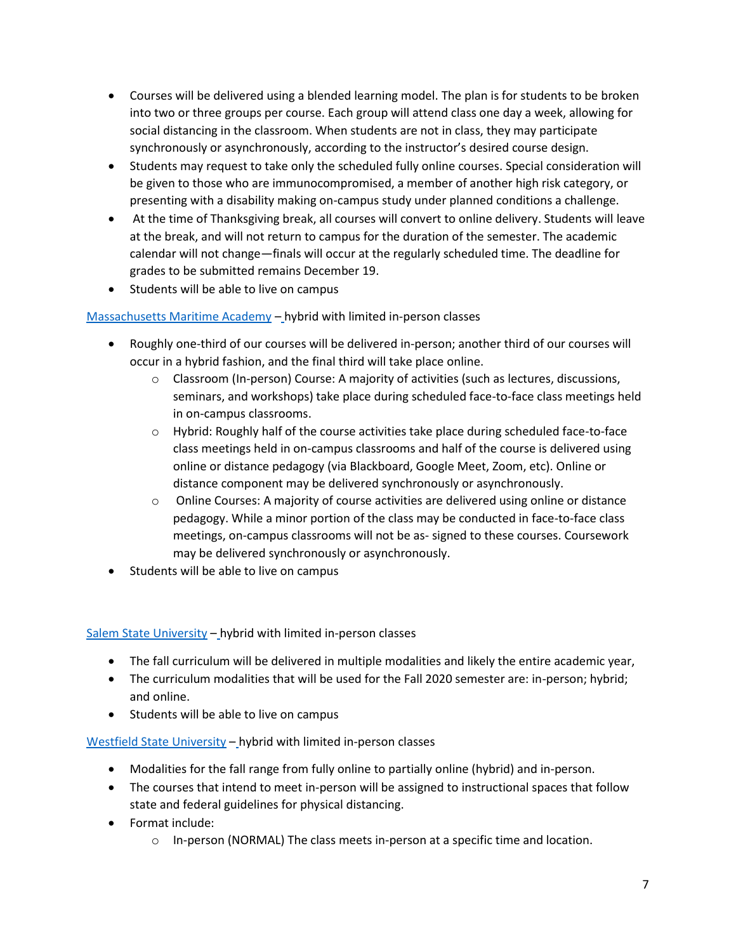- Courses will be delivered using a blended learning model. The plan is for students to be broken into two or three groups per course. Each group will attend class one day a week, allowing for social distancing in the classroom. When students are not in class, they may participate synchronously or asynchronously, according to the instructor's desired course design.
- Students may request to take only the scheduled fully online courses. Special consideration will be given to those who are immunocompromised, a member of another high risk category, or presenting with a disability making on-campus study under planned conditions a challenge.
- At the time of Thanksgiving break, all courses will convert to online delivery. Students will leave at the break, and will not return to campus for the duration of the semester. The academic calendar will not change—finals will occur at the regularly scheduled time. The deadline for grades to be submitted remains December 19.
- Students will be able to live on campus

[Massachusetts Maritime Academy](https://drive.google.com/file/d/12yCzjC-pc1F8rHfFnOcmzgNKsAFIyKCc/view) – hybrid with limited in-person classes

- Roughly one-third of our courses will be delivered in-person; another third of our courses will occur in a hybrid fashion, and the final third will take place online.
	- $\circ$  Classroom (In-person) Course: A majority of activities (such as lectures, discussions, seminars, and workshops) take place during scheduled face-to-face class meetings held in on-campus classrooms.
	- $\circ$  Hybrid: Roughly half of the course activities take place during scheduled face-to-face class meetings held in on-campus classrooms and half of the course is delivered using online or distance pedagogy (via Blackboard, Google Meet, Zoom, etc). Online or distance component may be delivered synchronously or asynchronously.
	- o Online Courses: A majority of course activities are delivered using online or distance pedagogy. While a minor portion of the class may be conducted in face-to-face class meetings, on-campus classrooms will not be as- signed to these courses. Coursework may be delivered synchronously or asynchronously.
- Students will be able to live on campus

[Salem State University](https://www.salemstate.edu/sites/default/files/pdfs/SSU%20REPOPULATION%20OPERATIONS%20PLAN_7-17-20.pdf) – hybrid with limited in-person classes

- The fall curriculum will be delivered in multiple modalities and likely the entire academic year,
- The curriculum modalities that will be used for the Fall 2020 semester are: in-person; hybrid; and online.
- Students will be able to live on campus

[Westfield State University](https://www.westfield.ma.edu/images/uploads/president/SafeFallOpeningPlan.pdf) – hybrid with limited in-person classes

- Modalities for the fall range from fully online to partially online (hybrid) and in-person.
- The courses that intend to meet in-person will be assigned to instructional spaces that follow state and federal guidelines for physical distancing.
- Format include:
	- $\circ$  In-person (NORMAL) The class meets in-person at a specific time and location.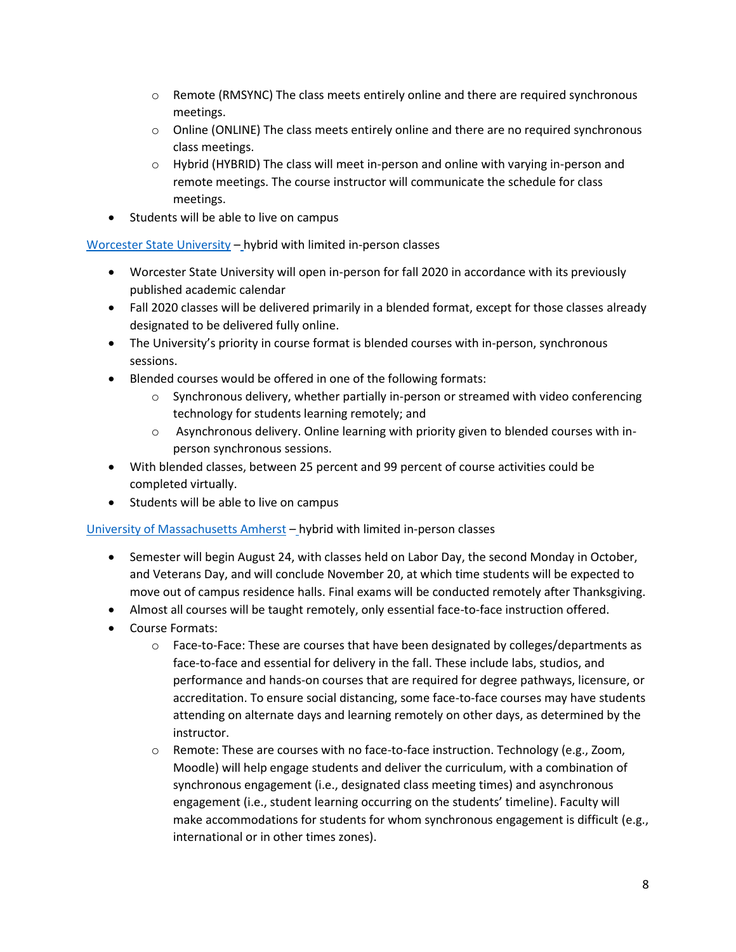- $\circ$  Remote (RMSYNC) The class meets entirely online and there are required synchronous meetings.
- $\circ$  Online (ONLINE) The class meets entirely online and there are no required synchronous class meetings.
- $\circ$  Hybrid (HYBRID) The class will meet in-person and online with varying in-person and remote meetings. The course instructor will communicate the schedule for class meetings.
- Students will be able to live on campus

[Worcester State University](https://drive.google.com/file/d/1QRAsNZL97ZPb5N5nz-Vg-Zv78f8rD9cT/view) – hybrid with limited in-person classes

- Worcester State University will open in-person for fall 2020 in accordance with its previously published academic calendar
- Fall 2020 classes will be delivered primarily in a blended format, except for those classes already designated to be delivered fully online.
- The University's priority in course format is blended courses with in-person, synchronous sessions.
- Blended courses would be offered in one of the following formats:
	- $\circ$  Synchronous delivery, whether partially in-person or streamed with video conferencing technology for students learning remotely; and
	- o Asynchronous delivery. Online learning with priority given to blended courses with inperson synchronous sessions.
- With blended classes, between 25 percent and 99 percent of course activities could be completed virtually.
- Students will be able to live on campus

## [University of Massachusetts Amherst](https://www.umass.edu/coronavirus/sites/default/files/2020-06/Fall-2020-Reopening-Plan_1.pdf) – hybrid with limited in-person classes

- Semester will begin August 24, with classes held on Labor Day, the second Monday in October, and Veterans Day, and will conclude November 20, at which time students will be expected to move out of campus residence halls. Final exams will be conducted remotely after Thanksgiving.
- Almost all courses will be taught remotely, only essential face-to-face instruction offered.
- Course Formats:
	- o Face-to-Face: These are courses that have been designated by colleges/departments as face-to-face and essential for delivery in the fall. These include labs, studios, and performance and hands-on courses that are required for degree pathways, licensure, or accreditation. To ensure social distancing, some face-to-face courses may have students attending on alternate days and learning remotely on other days, as determined by the instructor.
	- o Remote: These are courses with no face-to-face instruction. Technology (e.g., Zoom, Moodle) will help engage students and deliver the curriculum, with a combination of synchronous engagement (i.e., designated class meeting times) and asynchronous engagement (i.e., student learning occurring on the students' timeline). Faculty will make accommodations for students for whom synchronous engagement is difficult (e.g., international or in other times zones).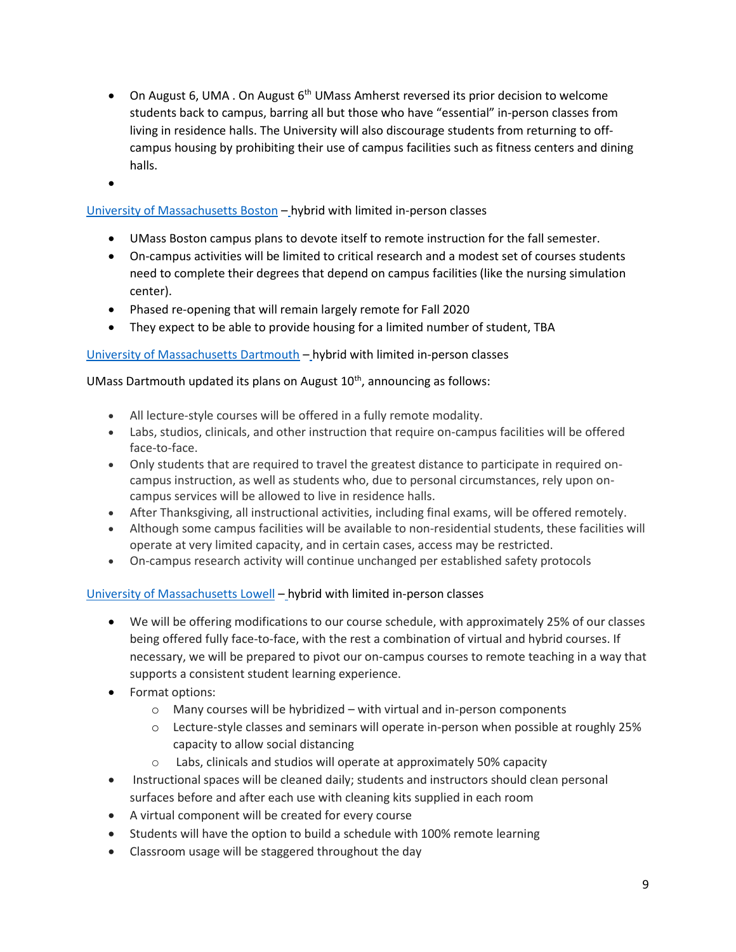- On August 6, UMA . On August 6<sup>th</sup> UMass Amherst reversed its prior decision to welcome students back to campus, barring all but those who have "essential" in-person classes from living in residence halls. The University will also discourage students from returning to offcampus housing by prohibiting their use of campus facilities such as fitness centers and dining halls.
- •

## [University of Massachusetts Boston](https://www.umb.edu/editor_uploads/images/covid_19/Reopening_planning_pages_v12_low.pdf) – hybrid with limited in-person classes

- UMass Boston campus plans to devote itself to remote instruction for the fall semester.
- On-campus activities will be limited to critical research and a modest set of courses students need to complete their degrees that depend on campus facilities (like the nursing simulation center).
- Phased re-opening that will remain largely remote for Fall 2020
- They expect to be able to provide housing for a limited number of student, TBA

## [University of Massachusetts Dartmouth](https://www.umassd.edu/media/umassdartmouth/news/2020/UMassD-Fall-2020-Re-Opening-Plan.pdf) – hybrid with limited in-person classes

UMass Dartmouth updated its plans on August  $10<sup>th</sup>$ , announcing as follows:

- All lecture-style courses will be offered in a fully remote modality.
- Labs, studios, clinicals, and other instruction that require on-campus facilities will be offered face-to-face.
- Only students that are required to travel the greatest distance to participate in required oncampus instruction, as well as students who, due to personal circumstances, rely upon oncampus services will be allowed to live in residence halls.
- After Thanksgiving, all instructional activities, including final exams, will be offered remotely.
- Although some campus facilities will be available to non-residential students, these facilities will operate at very limited capacity, and in certain cases, access may be restricted.
- On-campus research activity will continue unchanged per established safety protocols

## [University of Massachusetts Lowell](https://www.uml.edu/alert/coronavirus/returning/) – hybrid with limited in-person classes

- We will be offering modifications to our course schedule, with approximately 25% of our classes being offered fully face-to-face, with the rest a combination of virtual and hybrid courses. If necessary, we will be prepared to pivot our on-campus courses to remote teaching in a way that supports a consistent student learning experience.
- Format options:
	- o Many courses will be hybridized with virtual and in-person components
	- o Lecture-style classes and seminars will operate in-person when possible at roughly 25% capacity to allow social distancing
	- o Labs, clinicals and studios will operate at approximately 50% capacity
- Instructional spaces will be cleaned daily; students and instructors should clean personal surfaces before and after each use with cleaning kits supplied in each room
- A virtual component will be created for every course
- Students will have the option to build a schedule with 100% remote learning
- Classroom usage will be staggered throughout the day